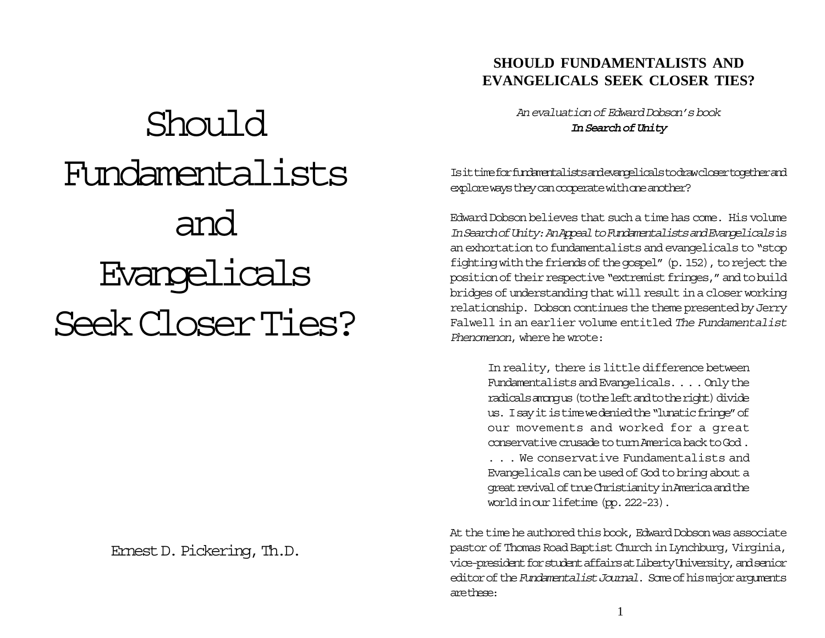# Should Fundamentalists and Evangelicals Seek Closer Ties?

Ernest D. Pickering, Th.D.

## **SHOULD FUNDAMENTALISTS AND EVANGELICALS SEEK CLOSER TIES?**

An evaluation of Edward Dobson's book **In Search of Unity**

Is it time for fundamentalists and evangelicals to draw closer together and explore ways they can cooperate with one another?

Edward Dobson believes that such a time has come. His volume In Search of Unity: An Appeal to Fundamentalists and Evangelicals is an exhortation to fundamentalists and evangelicals to "stop fighting with the friends of the gospel" (p. 152), to reject the position of their respective "extremist fringes," and to build bridges of understanding that will result in a closer working relationship. Dobson continues the theme presented by Jerry Falwell in an earlier volume entitled The Fundamentalist Phenomenon, where he wrote:

> In reality, there is little difference between Fundamentalists and Evangelicals. . . . Only the radicals among us (to the left and to the right) divide us. I say it is time we denied the "lunatic fringe" of our movements and worked for a great conservative crusade to turn America back to God . . . . We conservative Fundamentalists and Evangelicals can be used of God to bring about a great revival of true Christianity in America and the world in our lifetime (pp. 222-23).

At the time he authored this book, Edward Dobson was associate pastor of Thomas Road Baptist Church in Lynchburg, Virginia, vice-president for student affairs at Liberty University, and senior editor of the Fundamentalist Journal. Some of his major arguments are these: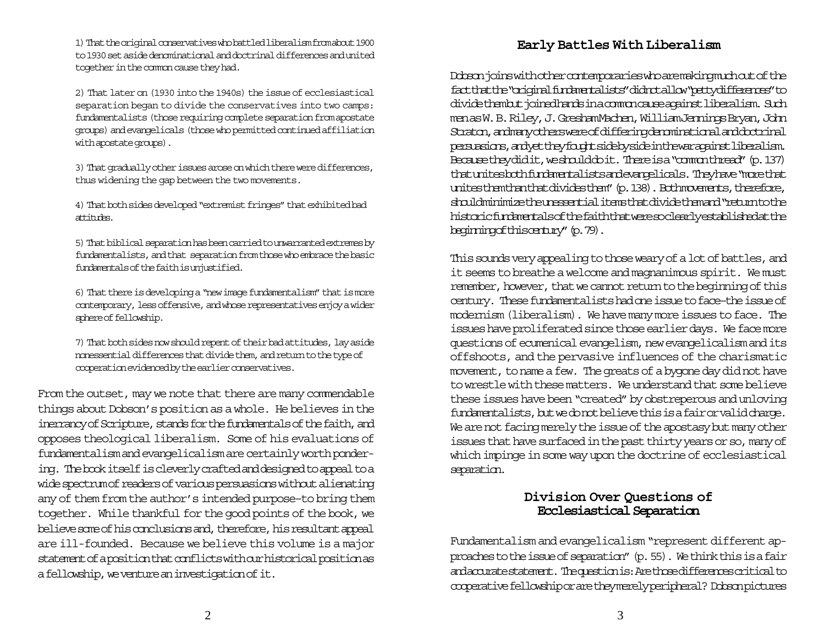1) That the original conservatives who battled liberalism from about 1900 to 1930 set aside denominational and doctrinal differences and united together in the common cause they had.

2) That later on (1930 into the 1940s) the issue of ecclesiastical separation began to divide the conservatives into two camps: fundamentalists (those requiring complete separation from apostate groups) and evangelicals (those who permitted continued affiliation with apostate groups).

3) That gradually other issues arose on which there were differences, thus widening the gap between the two movements.

4) That both sides developed "extremist fringes" that exhibited bad attitudes.

5) That biblical separation has been carried to unwarranted extremes by fundamentalists, and that separation from those who embrace the basic fundamentals of the faith is unjustified.

6) That there is developing a "new image fundamentalism" that is more contemporary, less offensive, and whose representatives enjoy a wider sphere of fellowship.

7) That both sides now should repent of their bad attitudes, lay aside nonessential differences that divide them, and return to the type of cooperation evidenced by the earlier conservatives.

From the outset, may we note that there are many commendable things about Dobson's position as a whole. He believes in the inerrancy of Scripture, stands for the fundamentals of the faith, and opposes theological liberalism. Some of his evaluations of fundamentalism and evangelicalism are certainly worth pondering. The book itself is cleverly crafted and designed to appeal to a wide spectrum of readers of various persuasions without alienating any of them from the author's intended purpose–to bring them together. While thankful for the good points of the book, we believe some of his conclusions and, therefore, his resultant appeal are ill-founded. Because we believe this volume is a major statement of a position that conflicts with our historical position as a fellowship, we venture an investigation of it.

## **Early Battles With Liberalism**

Dobson joins with other contemporaries who are making much out of the fact that the "original fundamentalists" did not allow "petty differences" to divide them but joined hands in a common cause against liberalism. Such men as W. B. Riley, J. Gresham Machen, William Jennings Bryan, John Straton, and many others were of differing denominational and doctrinal persuasions, and yet they fought side by side in the war against liberalism. Because they did it, we should do it. There is a "common thread" (p. 137) that unites both fundamentalists and evangelicals. They have "more that unites them than that divides them" (p. 138). Both movements, therefore, should minimize the unessential items that divide them and "return to the historic fundamentals of the faith that were so clearly established at the beginning of this century" (p. 79).

This sounds very appealing to those weary of a lot of battles, and it seems to breathe a welcome and magnanimous spirit. We must remember, however, that we cannot return to the beginning of this century. These fundamentalists had one issue to face–the issue of modernism (liberalism). We have many more issues to face. The issues have proliferated since those earlier days. We face more questions of ecumenical evangelism, new evangelicalism and its offshoots, and the pervasive influences of the charismatic movement, to name a few. The greats of a bygone day did not have to wrestle with these matters. We understand that some believe these issues have been "created" by obstreperous and unloving fundamentalists, but we do not believe this is a fair or valid charge. We are not facing merely the issue of the apostasy but many other issues that have surfaced in the past thirty years or so, many of which impinge in some way upon the doctrine of ecclesiastical separation.

#### **Division Over Questions of Ecclesiastical Separation**

Fundamentalism and evangelicalism "represent different approaches to the issue of separation" (p. 55). We think this is a fair and accurate statement. The question is: Are those differences critical to cooperative fellowship or are they merely peripheral? Dobson pictures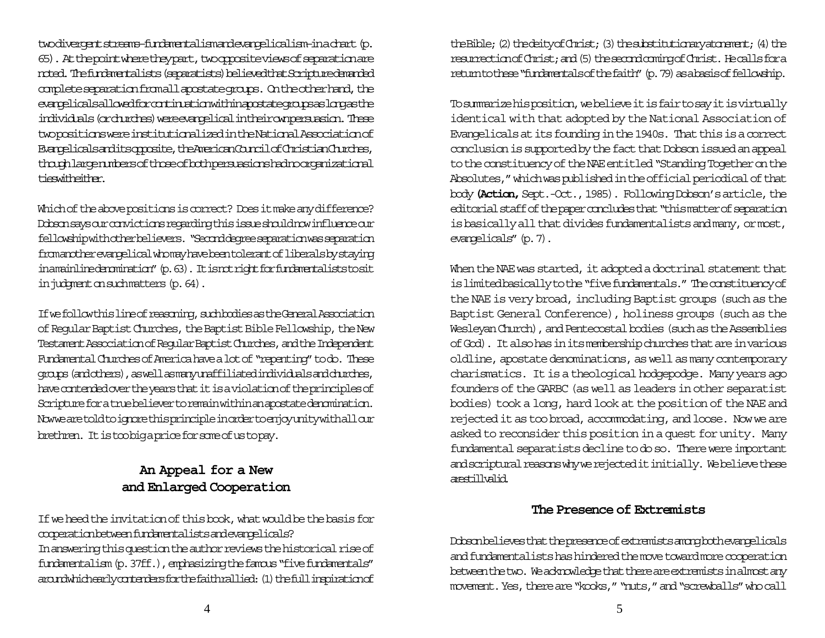two divergent streams–fundamentalism and evangelicalism-in a chart (p. 65). At the point where they part, two opposite views of separation are noted. The fundamentalists (separatists) believed that Scripture demanded complete separation from all apostate groups. On the other hand, the evangelicals allowed for continuation within apostate groups as long as the individuals (or churches) were evangelical in their own persuasion. These two positions were institutionalized in the National Association of Evangelicals and its opposite, the American Council of Christian Churches, though large numbers of those of both persuasions had no organizational tieswitheither.

Which of the above positions is correct? Does it make any difference? Dobson says our convictions regarding this issue should now influence our fellowship with other believers. "Second degree separation was separation from another evangelical who may have been tolerant of liberals by staying in a mainline denomination" (p. 63). It is not right for fundamental ists to sit in judgment on such matters (p. 64).

If we follow this line of reasoning, such bodies as the General Association of Regular Baptist Churches, the Baptist Bible Fellowship, the New Testament Association of Regular Baptist Churches, and the Independent Fundamental Churches of America have a lot of "repenting" to do. These groups (and others), as well as many unaffiliated individuals and durches, have contended over the years that it is a violation of the principles of Scripture for a true believer to remain within an apostate denomination. Now we are told to ignore this principle in order to enjoy unity with all our brethren. It is too big a price for some of us to pay.

## **An Appeal for a New and Enlarged Cooperation**

If we heed the invitation of this book, what would be the basis for cooperation between fundamentalists and evangelicals? In answering this question the author reviews the historical rise of fundamentalism (p. 37ff.), emphasizing the famous "five fundamentals" around which early contenders for the faith rallied: (1) the full inspiration of

the Bible; (2) the deity of Christ; (3) the substitutionary atonement; (4) the resurrection of Christ; and (5) the second coming of Christ. He calls for a return to these "fundamentals of the faith" (p. 79) as a basis of fellowship.

To summarize his position, we believe it is fair to say it is virtually identical with that adopted by the National Association of Evangelicals at its founding in the 1940s. That this is a correct conclusion is supported by the fact that Dobson issued an appeal to the constituency of the NAE entitled "Standing Together on the Absolutes," which was published in the official periodical of that body **(Action,**Sept.-Oct., 1985). Following Dobson's article, the editorial staff of the paper concludes that "this matter of separation is basically all that divides fundamentalists and many, or most, evangelicals" (p. 7).

When the NAE was started, it adopted a doctrinal statement that is limited basically to the "five fundamentals." The constituency of the NAE is very broad, including Baptist groups (such as the Baptist General Conference), holiness groups (such as the Wesleyan Church), and Pentecostal bodies (such as the Assemblies of God). It also has in its membership churches that are in various oldline, apostate denominations, as well as many contemporary charismatics. It is a theological hodgepodge. Many years ago founders of the GARBC (as well as leaders in other separatist bodies) took a long, hard look at the position of the NAE and rejected it as too broad, accommodating, and loose. Now we are asked to reconsider this position in a quest for unity. Many fundamental separatists decline to do so. There were important and scriptural reasons why we rejected it initially. We believe these arestillvalid.

## **The Presence of Extremists**

Dobson believes that the presence of extremists among both evangelicals and fundamentalists has hindered the move toward more cooperation between the two. We acknowledge that there are extremists in almost any movement. Yes, there are "kooks," "nuts," and "screwballs" who call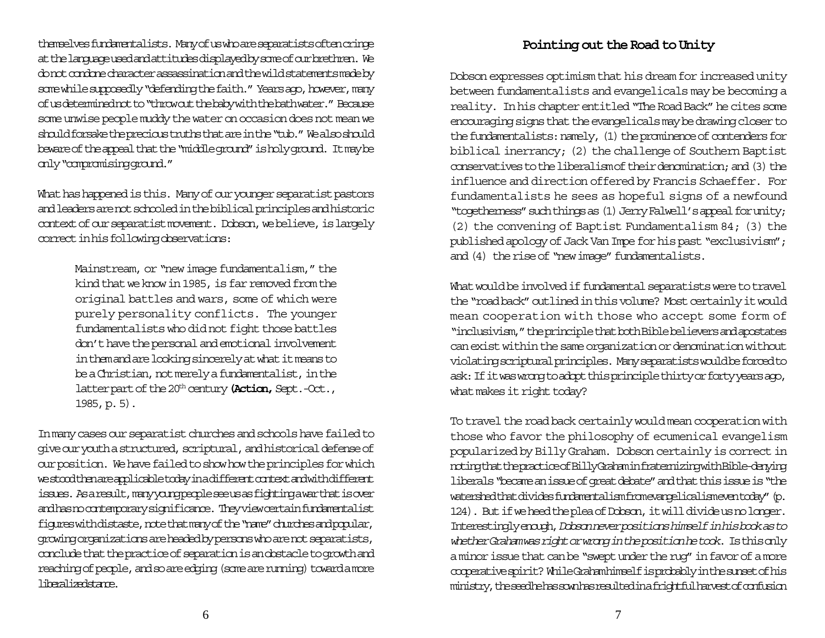themselves fundamentalists. Many of us who are separatists often cringe at the language used and attitudes displayed by some of our brethren. We do not condone character assassination and the wild statements made by some while supposedly "defending the faith." Years ago, however, many of us determined not to "throw out the baby with the bath water." Because some unwise people muddy the water on occasion does not mean we should forsake the precious truths that are in the "tub." We also should beware of the appeal that the "middle ground" is holy ground. It may be only "compromising ground."

What has happened is this. Many of our younger separatist pastors and leaders are not schooled in the biblical principles and historic context of our separatist movement. Dobson, we believe, is largely correct in his following observations:

> Mainstream, or "new image fundamentalism," the kind that we know in 1985, is far removed from the original battles and wars, some of which were purely personality conflicts. The younger fundamentalists who did not fight those battles don't have the personal and emotional involvement in them and are looking sincerely at what it means to be a Christian, not merely a fundamentalist, in the latter part of the 20<sup>th</sup> century (Action, Sept.-Oct., 1985, p. 5).

In many cases our separatist churches and schools have failed to give our youth a structured, scriptural, and historical defense of our position. We have failed to show how the principles for which we stood then are applicable today in a different context and with different issues. As a result, many oung people see us as fighting a war that is over and has no contemporary significance. They view certain fundamentalist figures with distaste, note that many of the "name" churches and popular, growing organizations are headed by persons who are not separatists, conclude that the practice of separation is an obstacle to growth and reaching of people, and so are edging (some are running) toward a more liberalizedstance.

## **Pointing out the Road to Unity**

Dobson expresses optimism that his dream for increased unity between fundamentalists and evangelicals may be becoming a reality. In his chapter entitled "The Road Back" he cites some encouraging signs that the evangelicals may be drawing closer to the fundamentalists: namely, (1) the prominence of contenders for biblical inerrancy; (2) the challenge of Southern Baptist conservatives to the liberalism of their denomination; and (3) the influence and direction offered by Francis Schaeffer. For fundamentalists he sees as hopeful signs of a newfound "togetherness" such things as (1) Jerry Falwell's appeal for unity; (2) the convening of Baptist Fundamentalism 84; (3) the published apology of Jack Van Impe for his past "exclusivism"; and (4) the rise of "new image" fundamentalists.

What would be involved if fundamental separatists were to travel the "road back" outlined in this volume? Most certainly it would mean cooperation with those who accept some form of "inclusivism," the principle that both Bible believers and apostates can exist within the same organization or denomination without violating scriptural principles. Many separatists would be forced to ask: If it was wrong to adopt this principle thirty or forty years ago, what makes it right today?

To travel the road back certainly would mean cooperation with those who favor the philosophy of ecumenical evangelism popularized by Billy Graham. Dobson certainly is correct in noting that the practice of Billy Graham in frate mizing with Bible-denying liberals "became an issue of great debate" and that this issue is "the watershed that divides fundamentalism from evangelicalism even today" (p. 124). But if we heed the plea of Dobson, it will divide us no longer. Interestingly enough, Dobson never positions himself in his book as to whether Graham was right or wrong in the position he took. Is this only a minor issue that can be "swept under the rug" in favor of a more cooperative spirit? While Graham himself is probably in the sunset of his ministry, the seed he has sown has resulted in a frightful harvest of confusion

6  $\overline{\phantom{a}}$  7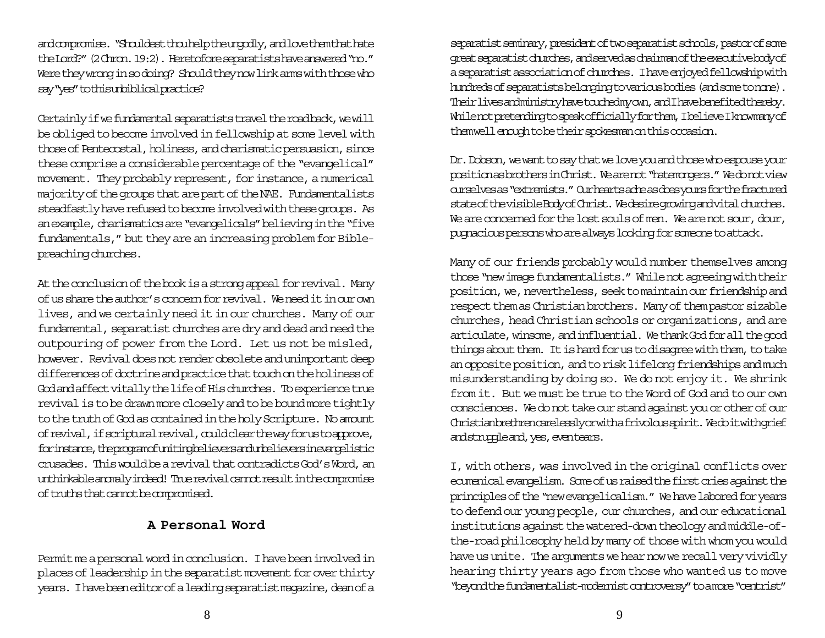and compromise. "Shouldest thou help the ungodly, and love them that hate the Lord?" (2 Chron. 19:2). Heretofore separatists have answered "no." Were they wrong in so doing? Should they now link arms with those who say "yes" to this unbiblical practice?

Certainly if we fundamental separatists travel the road back, we will be obliged to become involved in fellowship at some level with those of Pentecostal, holiness, and charismatic persuasion, since these comprise a considerable percentage of the "evangelical" movement. They probably represent, for instance, a numerical majority of the groups that are part of the NAE. Fundamentalists steadfastly have refused to become involved with these groups. As an example, charismatics are "evangelicals" believing in the "five fundamentals," but they are an increasing problem for Biblepreaching churches.

At the conclusion of the book is a strong appeal for revival. Many of us share the author's concern for revival. We need it in our own lives, and we certainly need it in our churches. Many of our fundamental, separatist churches are dry and dead and need the outpouring of power from the Lord. Let us not be misled, however. Revival does not render obsolete and unimportant deep differences of doctrine and practice that touch on the holiness of God and affect vitally the life of His churches. To experience true revival is to be drawn more closely and to be bound more tightly to the truth of God as contained in the holy Scripture. No amount of revival, if scriptural revival, could clear the way for us to approve, for instance, the program of uniting believers and unbelievers in evangelistic crusades. This would be a revival that contradicts God's Word, an unthinkable anomaly indeed! True revival cannot result in the compromise of truths that cannot be compromised.

## **A Personal Word**

Permit me a personal word in conclusion. I have been involved in places of leadership in the separatist movement for over thirty years. I have been editor of a leading separatist magazine, dean of a

separatist seminary, president of two separatist schools, pastor of some great separatist churches, and served as chairman of the executive body of a separatist association of churches. I have enjoyed fellowship with hundreds of separatists belonging to various bodies (and some to none). Their lives and ministry have touched my own, and I have benefited thereby. Whilenot pretending to speak officially for them, I believe I know many of them well enough to be their spokesman on this occasion.

Dr. Dobson, we want to say that we love you and those who espouse your position as brothers in Christ. We are not "hatemongers." We do not view ourselves as "extremists." Our hearts ache as does yours for the fractured state of the visible Body of Christ. We desire growing and vital churches. We are concerned for the lost souls of men. We are not sour, dour, pugnacious persons who are always looking for someone to attack.

Many of our friends probably would number themselves among those "new image fundamentalists." While not agreeing with their position, we, nevertheless, seek to maintain our friendship and respect them as Christian brothers. Many of them pastor sizable churches, head Christian schools or organizations, and are articulate, winsome, and influential. We thank God for all the good things about them. It is hard for us to disagree with them, to take an opposite position, and to risk lifelong friendships and much misunderstanding by doing so. We do not enjoy it. We shrink from it. But we must be true to the Word of God and to our own consciences. We do not take our stand against you or other of our Christian brethren carelessly or with a frivolous spirit. We do it with grief and strupple and, yes, even tears.

I, with others, was involved in the original conflicts over ecumenical evangelism. Some of us raised the first cries against the principles of the "new evangelicalism." We have labored for years to defend our young people, our churches, and our educational institutions against the watered-down theology and middle-ofthe-road philosophy held by many of those with whom you would have us unite. The arguments we hear now we recall very vividly hearing thirty years ago from those who wanted us to move "beyond the fundamentalist-modernist controversy" to a more "centrist"